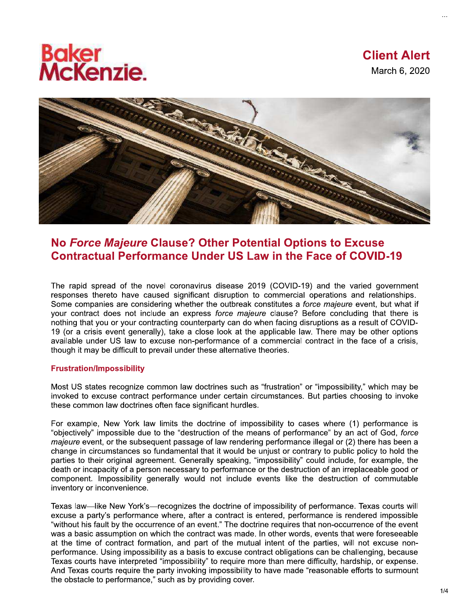# **Baker<br>McKenzie.**



# No Force Majeure Clause? Other Potential Options to Excuse **Contractual Performance Under US Law in the Face of COVID-19**

The rapid spread of the novel coronavirus disease 2019 (COVID-19) and the varied government responses thereto have caused significant disruption to commercial operations and relationships. Some companies are considering whether the outbreak constitutes a force majeure event, but what if your contract does not include an express force majeure clause? Before concluding that there is nothing that you or your contracting counterparty can do when facing disruptions as a result of COVID-19 (or a crisis event generally), take a close look at the applicable law. There may be other options available under US law to excuse non-performance of a commercial contract in the face of a crisis, though it may be difficult to prevail under these alternative theories.

## **Frustration/Impossibility**

Most US states recognize common law doctrines such as "frustration" or "impossibility," which may be invoked to excuse contract performance under certain circumstances. But parties choosing to invoke these common law doctrines often face significant hurdles.

For example, New York law limits the doctrine of impossibility to cases where (1) performance is "objectively" impossible due to the "destruction of the means of performance" by an act of God, force majeure event, or the subsequent passage of law rendering performance illegal or (2) there has been a change in circumstances so fundamental that it would be unjust or contrary to public policy to hold the parties to their original agreement. Generally speaking, "impossibility" could include, for example, the death or incapacity of a person necessary to performance or the destruction of an irreplaceable good or component. Impossibility generally would not include events like the destruction of commutable inventory or inconvenience.

Texas law—like New York's—recognizes the doctrine of impossibility of performance. Texas courts will excuse a party's performance where, after a contract is entered, performance is rendered impossible "without his fault by the occurrence of an event." The doctrine requires that non-occurrence of the event was a basic assumption on which the contract was made. In other words, events that were foreseeable at the time of contract formation, and part of the mutual intent of the parties, will not excuse nonperformance. Using impossibility as a basis to excuse contract obligations can be challenging, because Texas courts have interpreted "impossibility" to require more than mere difficulty, hardship, or expense. And Texas courts require the party invoking impossibility to have made "reasonable efforts to surmount the obstacle to performance," such as by providing cover.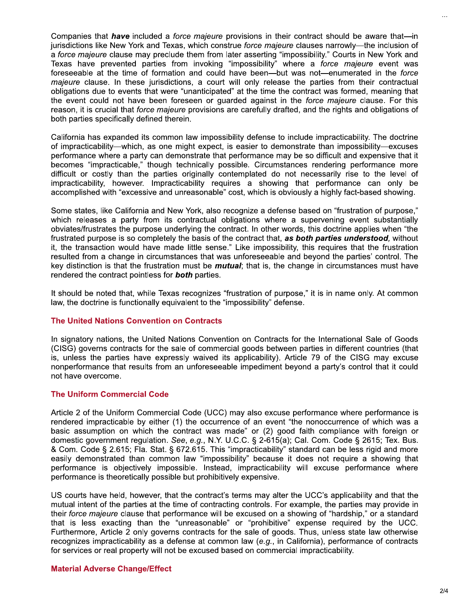Companies that *have* included a *force majeure* provisions in their contract should be aware that—in jurisdictions like New York and Texas, which construe force majeure clauses narrowly—the inclusion of a force majeure clause may preclude them from later asserting "impossibility." Courts in New York and Texas have prevented parties from invoking "impossibility" where a force majeure event was foreseeable at the time of formation and could have been—but was not—enumerated in the force majeure clause. In these jurisdictions, a court will only release the parties from their contractual obligations due to events that were "unanticipated" at the time the contract was formed, meaning that the event could not have been foreseen or guarded against in the force majeure clause. For this reason, it is crucial that force majeure provisions are carefully drafted, and the rights and obligations of both parties specifically defined therein.

California has expanded its common law impossibility defense to include impracticability. The doctrine of impracticability—which, as one might expect, is easier to demonstrate than impossibility—excuses performance where a party can demonstrate that performance may be so difficult and expensive that it becomes "impracticable," though technically possible. Circumstances rendering performance more difficult or costly than the parties originally contemplated do not necessarily rise to the level of impracticability, however. Impracticability requires a showing that performance can only be accomplished with "excessive and unreasonable" cost, which is obviously a highly fact-based showing.

Some states, like California and New York, also recognize a defense based on "frustration of purpose," which releases a party from its contractual obligations where a supervening event substantially obviates/frustrates the purpose underlying the contract. In other words, this doctrine applies when "the frustrated purpose is so completely the basis of the contract that, as both parties understood, without it, the transaction would have made little sense." Like impossibility, this requires that the frustration resulted from a change in circumstances that was unforeseeable and beyond the parties' control. The key distinction is that the frustration must be *mutual*; that is, the change in circumstances must have rendered the contract pointless for **both** parties.

It should be noted that, while Texas recognizes "frustration of purpose," it is in name only. At common law, the doctrine is functionally equivalent to the "impossibility" defense.

## **The United Nations Convention on Contracts**

In signatory nations, the United Nations Convention on Contracts for the International Sale of Goods (CISG) governs contracts for the sale of commercial goods between parties in different countries (that is, unless the parties have expressly waived its applicability). Article 79 of the CISG may excuse nonperformance that results from an unforeseeable impediment beyond a party's control that it could not have overcome.

#### **The Uniform Commercial Code**

Article 2 of the Uniform Commercial Code (UCC) may also excuse performance where performance is rendered impracticable by either (1) the occurrence of an event "the nonoccurrence of which was a basic assumption on which the contract was made" or (2) good faith compliance with foreign or domestic government regulation. See, e.g., N.Y. U.C.C. § 2-615(a); Cal. Com. Code § 2615; Tex. Bus. & Com. Code § 2.615; Fla. Stat. § 672.615. This "impracticability" standard can be less rigid and more easily demonstrated than common law "impossibility" because it does not require a showing that performance is objectively impossible. Instead, impracticability will excuse performance where performance is theoretically possible but prohibitively expensive.

US courts have held, however, that the contract's terms may alter the UCC's applicability and that the mutual intent of the parties at the time of contracting controls. For example, the parties may provide in their force majeure clause that performance will be excused on a showing of "hardship," or a standard that is less exacting than the "unreasonable" or "prohibitive" expense required by the UCC. Furthermore, Article 2 only governs contracts for the sale of goods. Thus, unless state law otherwise recognizes impracticability as a defense at common law (e.g., in California), performance of contracts for services or real property will not be excused based on commercial impracticability.

#### **Material Adverse Change/Effect**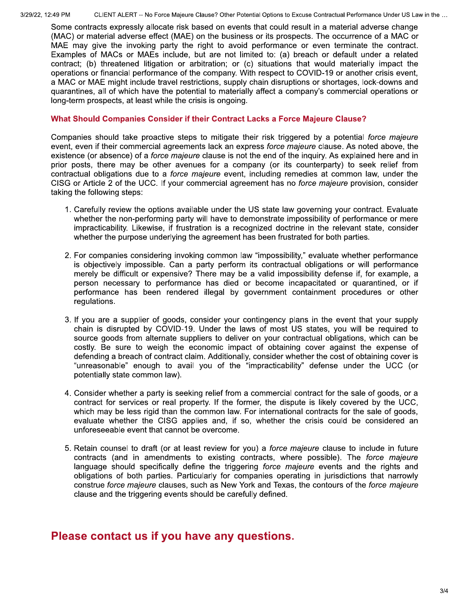3/29/22, 12:49 PM

Some contracts expressly allocate risk based on events that could result in a material adverse change (MAC) or material adverse effect (MAE) on the business or its prospects. The occurrence of a MAC or MAE may give the invoking party the right to avoid performance or even terminate the contract. Examples of MACs or MAEs include, but are not limited to: (a) breach or default under a related contract; (b) threatened litigation or arbitration; or (c) situations that would materially impact the operations or financial performance of the company. With respect to COVID-19 or another crisis event, a MAC or MAE might include travel restrictions, supply chain disruptions or shortages, lock-downs and quarantines, all of which have the potential to materially affect a company's commercial operations or long-term prospects, at least while the crisis is ongoing.

## What Should Companies Consider if their Contract Lacks a Force Majeure Clause?

Companies should take proactive steps to mitigate their risk triggered by a potential force majeure event, even if their commercial agreements lack an express force majeure clause. As noted above, the existence (or absence) of a force majeure clause is not the end of the inquiry. As explained here and in prior posts, there may be other avenues for a company (or its counterparty) to seek relief from contractual obligations due to a *force majeure* event, including remedies at common law, under the CISG or Article 2 of the UCC. If your commercial agreement has no force majeure provision, consider taking the following steps:

- 1. Carefully review the options available under the US state law governing your contract. Evaluate whether the non-performing party will have to demonstrate impossibility of performance or mere impracticability. Likewise, if frustration is a recognized doctrine in the relevant state, consider whether the purpose underlying the agreement has been frustrated for both parties.
- 2. For companies considering invoking common law "impossibility," evaluate whether performance is objectively impossible. Can a party perform its contractual obligations or will performance merely be difficult or expensive? There may be a valid impossibility defense if, for example, a person necessary to performance has died or become incapacitated or quarantined, or if performance has been rendered illegal by government containment procedures or other regulations.
- 3. If you are a supplier of goods, consider your contingency plans in the event that your supply chain is disrupted by COVID-19. Under the laws of most US states, you will be required to source goods from alternate suppliers to deliver on your contractual obligations, which can be costly. Be sure to weigh the economic impact of obtaining cover against the expense of defending a breach of contract claim. Additionally, consider whether the cost of obtaining cover is "unreasonable" enough to avail you of the "impracticability" defense under the UCC (or potentially state common law).
- 4. Consider whether a party is seeking relief from a commercial contract for the sale of goods, or a contract for services or real property. If the former, the dispute is likely covered by the UCC, which may be less rigid than the common law. For international contracts for the sale of goods, evaluate whether the CISG applies and, if so, whether the crisis could be considered an unforeseeable event that cannot be overcome.
- 5. Retain counsel to draft (or at least review for you) a *force majeure* clause to include in future contracts (and in amendments to existing contracts, where possible). The force majeure language should specifically define the triggering force majeure events and the rights and obligations of both parties. Particularly for companies operating in jurisdictions that narrowly construe force majeure clauses, such as New York and Texas, the contours of the force majeure clause and the triggering events should be carefully defined.

# Please contact us if you have any questions.